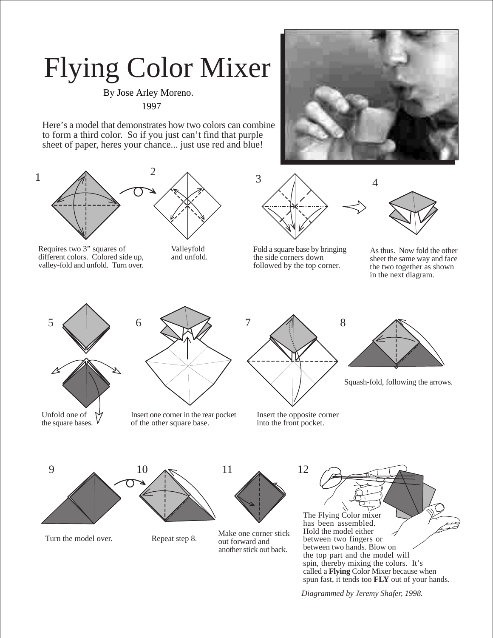## Flying Color Mixer

By Jose Arley Moreno. ©1997

Here's a model that demonstrates how two colors can combine to form a third color. So if you just can't find that purple sheet of paper, heres your chance... just use red and blue!



Requires two 3" squares of different colors. Colored side up, valley-fold and unfold. Turn over.



Valleyfold and unfold.





Fold a square base by bringing the side corners down followed by the top corner.



As thus. Now fold the other sheet the same way and face the two together as shown in the next diagram.



the square bases.

Insert one corner in the rear pocket of the other square base.





Squash-fold, following the arrows.

Insert the opposite corner into the front pocket.







Turn the model over.<br>Repeat step 8. Make one corner stick<br>out forward and out forward and another stick out back.



*Diagrammed by Jeremy Shafer, 1998.*